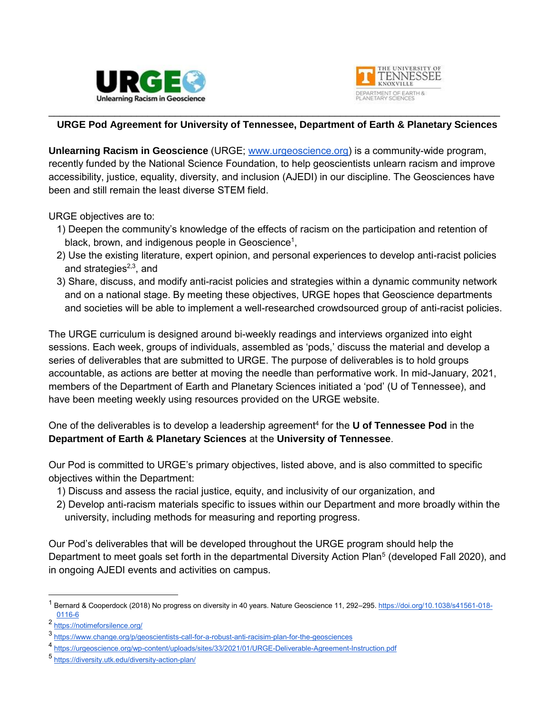



## \_\_\_\_\_\_\_\_\_\_\_\_\_\_\_\_\_\_\_\_\_\_\_\_\_\_\_\_\_\_\_\_\_\_\_\_\_\_\_\_\_\_\_\_\_\_\_\_\_\_\_\_\_\_\_\_\_\_\_\_\_\_\_\_\_\_\_\_\_\_\_\_\_\_\_\_\_\_\_\_\_\_ **URGE Pod Agreement for University of Tennessee, Department of Earth & Planetary Sciences**

**Unlearning Racism in Geoscience** (URGE; [www.urgeoscience.org\)](http://www.urgeoscience.org/) is a community-wide program, recently funded by the National Science Foundation, to help geoscientists unlearn racism and improve accessibility, justice, equality, diversity, and inclusion (AJEDI) in our discipline. The Geosciences have been and still remain the least diverse STEM field.

URGE objectives are to:

- 1) Deepen the community's knowledge of the effects of racism on the participation and retention of black, brown, and indigenous people in Geoscience<sup>1</sup>,
- 2) Use the existing literature, expert opinion, and personal experiences to develop anti-racist policies and strategies<sup>2,3</sup>, and
- 3) Share, discuss, and modify anti-racist policies and strategies within a dynamic community network and on a national stage. By meeting these objectives, URGE hopes that Geoscience departments and societies will be able to implement a well-researched crowdsourced group of anti-racist policies.

The URGE curriculum is designed around bi-weekly readings and interviews organized into eight sessions. Each week, groups of individuals, assembled as 'pods,' discuss the material and develop a series of deliverables that are submitted to URGE. The purpose of deliverables is to hold groups accountable, as actions are better at moving the needle than performative work. In mid-January, 2021, members of the Department of Earth and Planetary Sciences initiated a 'pod' (U of Tennessee), and have been meeting weekly using resources provided on the URGE website.

One of the deliverables is to develop a leadership agreement<sup>4</sup> for the U of Tennessee Pod in the **Department of Earth & Planetary Sciences** at the **University of Tennessee**.

Our Pod is committed to URGE's primary objectives, listed above, and is also committed to specific objectives within the Department:

- 1) Discuss and assess the racial justice, equity, and inclusivity of our organization, and
- 2) Develop anti-racism materials specific to issues within our Department and more broadly within the university, including methods for measuring and reporting progress.

Our Pod's deliverables that will be developed throughout the URGE program should help the Department to meet goals set forth in the departmental Diversity Action Plan<sup>5</sup> (developed Fall 2020), and in ongoing AJEDI events and activities on campus.

 $\overline{a}$ 

<sup>&</sup>lt;sup>1</sup> Bernard & Cooperdock (2018) No progress on diversity in 40 years. Nature Geoscience 11, 292–295. [https://doi.org/10.1038/s41561-018-](https://doi.org/10.1038/s41561-018-0116-6) [0116-6](https://doi.org/10.1038/s41561-018-0116-6)

<sup>&</sup>lt;sup>2</sup> <https://notimeforsilence.org/>

<sup>3</sup> <https://www.change.org/p/geoscientists-call-for-a-robust-anti-racisim-plan-for-the-geosciences>

<sup>4</sup> <https://urgeoscience.org/wp-content/uploads/sites/33/2021/01/URGE-Deliverable-Agreement-Instruction.pdf>

<sup>5</sup> <https://diversity.utk.edu/diversity-action-plan/>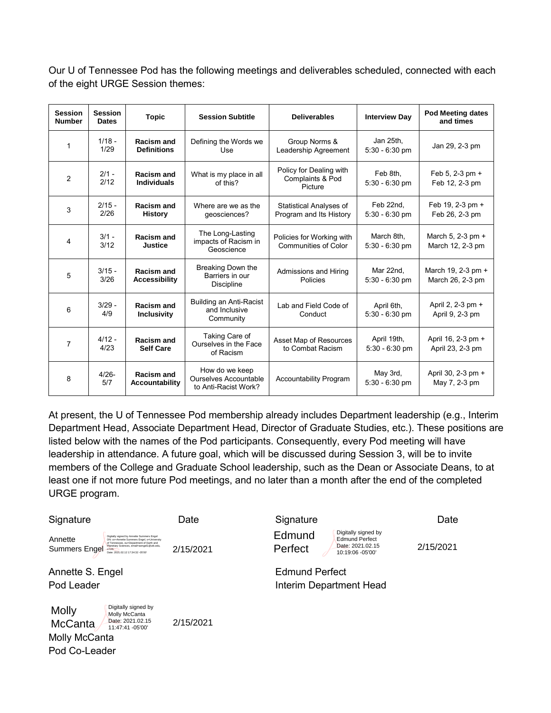Our U of Tennessee Pod has the following meetings and deliverables scheduled, connected with each of the eight URGE Session themes:

| <b>Session</b><br><b>Number</b> | <b>Session</b><br><b>Dates</b> | <b>Topic</b>                       | <b>Session Subtitle</b>                                                | <b>Deliverables</b>                                    | <b>Interview Day</b>            | <b>Pod Meeting dates</b><br>and times  |
|---------------------------------|--------------------------------|------------------------------------|------------------------------------------------------------------------|--------------------------------------------------------|---------------------------------|----------------------------------------|
| $\mathbf{1}$                    | $1/18 -$<br>1/29               | Racism and<br><b>Definitions</b>   | Defining the Words we<br>Use                                           | Group Norms &<br>Leadership Agreement                  | Jan 25th,<br>$5:30 - 6:30$ pm   | Jan 29, 2-3 pm                         |
| $\overline{2}$                  | $2/1 -$<br>2/12                | Racism and<br><b>Individuals</b>   | What is my place in all<br>of this?                                    | Policy for Dealing with<br>Complaints & Pod<br>Picture | Feb 8th,<br>$5:30 - 6:30$ pm    | Feb 5, 2-3 pm $+$<br>Feb 12, 2-3 pm    |
| 3                               | $2/15 -$<br>2/26               | Racism and<br><b>History</b>       | Where are we as the<br>qeosciences?                                    | Statistical Analyses of<br>Program and Its History     | Feb 22nd.<br>$5:30 - 6:30$ pm   | Feb 19, 2-3 pm +<br>Feb 26, 2-3 pm     |
| 4                               | $3/1 -$<br>3/12                | Racism and<br><b>Justice</b>       | The Long-Lasting<br>impacts of Racism in<br>Geoscience                 | Policies for Working with<br>Communities of Color      | March 8th,<br>$5:30 - 6:30$ pm  | March 5, 2-3 pm +<br>March 12, 2-3 pm  |
| 5                               | $3/15 -$<br>3/26               | Racism and<br><b>Accessibility</b> | Breaking Down the<br>Barriers in our<br>Discipline                     | Admissions and Hiring<br>Policies                      | Mar 22nd,<br>$5:30 - 6:30$ pm   | March 19, 2-3 pm +<br>March 26, 2-3 pm |
| 6                               | $3/29 -$<br>4/9                | Racism and<br><b>Inclusivity</b>   | Building an Anti-Racist<br>and Inclusive<br>Community                  | Lab and Field Code of<br>Conduct                       | April 6th,<br>$5:30 - 6:30$ pm  | April 2, 2-3 pm +<br>April 9, 2-3 pm   |
| $\overline{7}$                  | $4/12 -$<br>4/23               | Racism and<br><b>Self Care</b>     | Taking Care of<br>Ourselves in the Face<br>of Racism                   | Asset Map of Resources<br>to Combat Racism             | April 19th,<br>$5:30 - 6:30$ pm | April 16, 2-3 pm +<br>April 23, 2-3 pm |
| 8                               | $4/26 -$<br>5/7                | Racism and<br>Accountability       | How do we keep<br><b>Ourselves Accountable</b><br>to Anti-Racist Work? | Accountability Program                                 | May 3rd,<br>$5:30 - 6:30$ pm    | April 30, 2-3 pm +<br>May 7, 2-3 pm    |

At present, the U of Tennessee Pod membership already includes Department leadership (e.g., Interim Department Head, Associate Department Head, Director of Graduate Studies, etc.). These positions are listed below with the names of the Pod participants. Consequently, every Pod meeting will have leadership in attendance. A future goal, which will be discussed during Session 3, will be to invite members of the College and Graduate School leadership, such as the Dean or Associate Deans, to at least one if not more future Pod meetings, and no later than a month after the end of the completed URGE program.

Signature **Date** Date Signature **Date Date** Annette Summers Engel Digitally signed by Annette Summers Engel DN: cn=Annette Summers Engel, o=University of Tennessee, ou=Department of Earth and Planetary Sciences, email=aengel1@utk.edu, Date: 2021.02.12 17:34:32 -05'00' 2/15/2021<br>2/15/2021

Molly McCanta Pod Co-Leader Molly McCanta Digitally signed by Molly McCanta Date: 2021.02.15 11:47:41 -05'00'

**Edmund** Perfect

Digitally signed by Edmund Perfect Date: 2021.02.15<br>10:19:06 -05'00'

2/15/2021

Annette S. Engel **Edmund Perfect** Pod Leader **Interim Department Head**